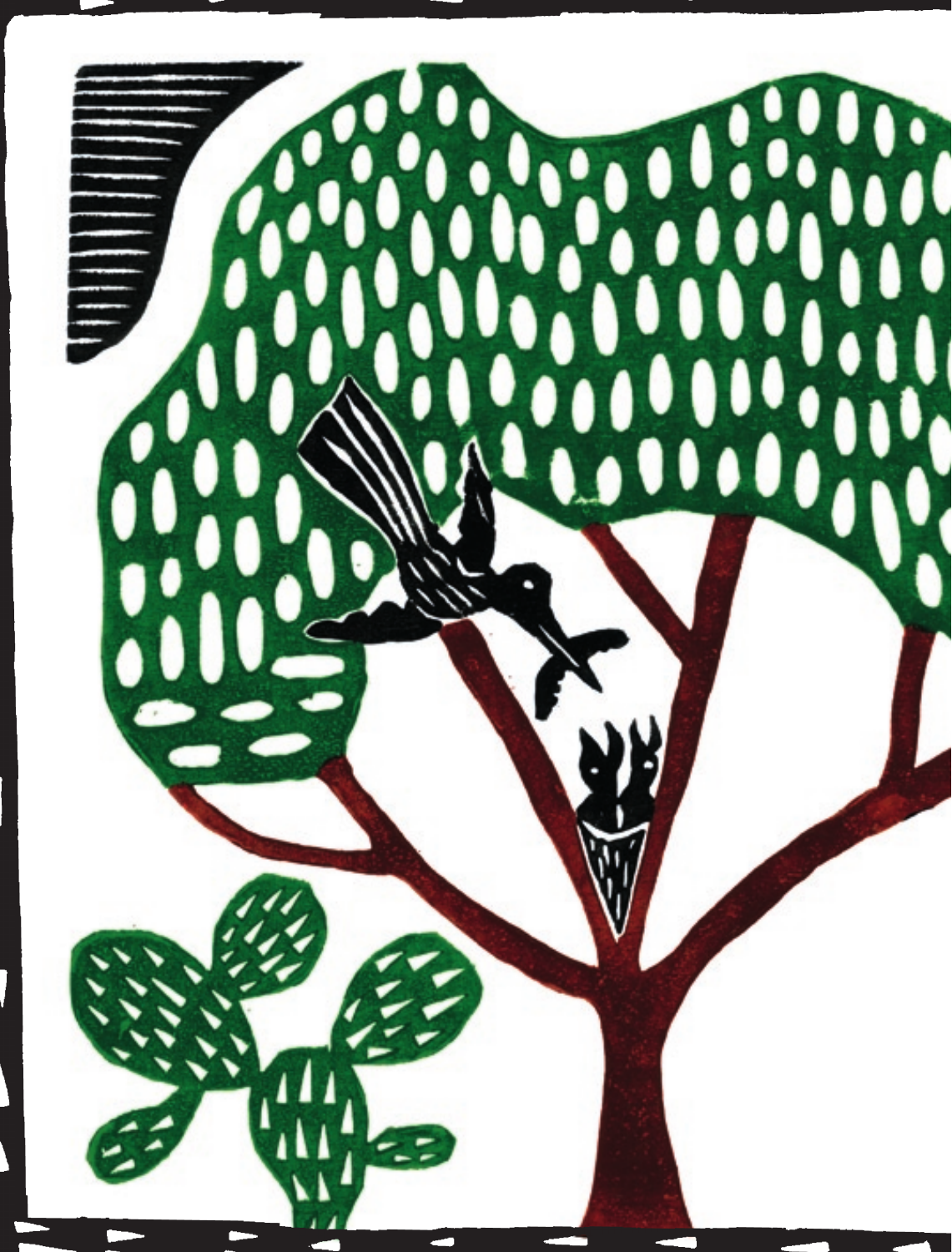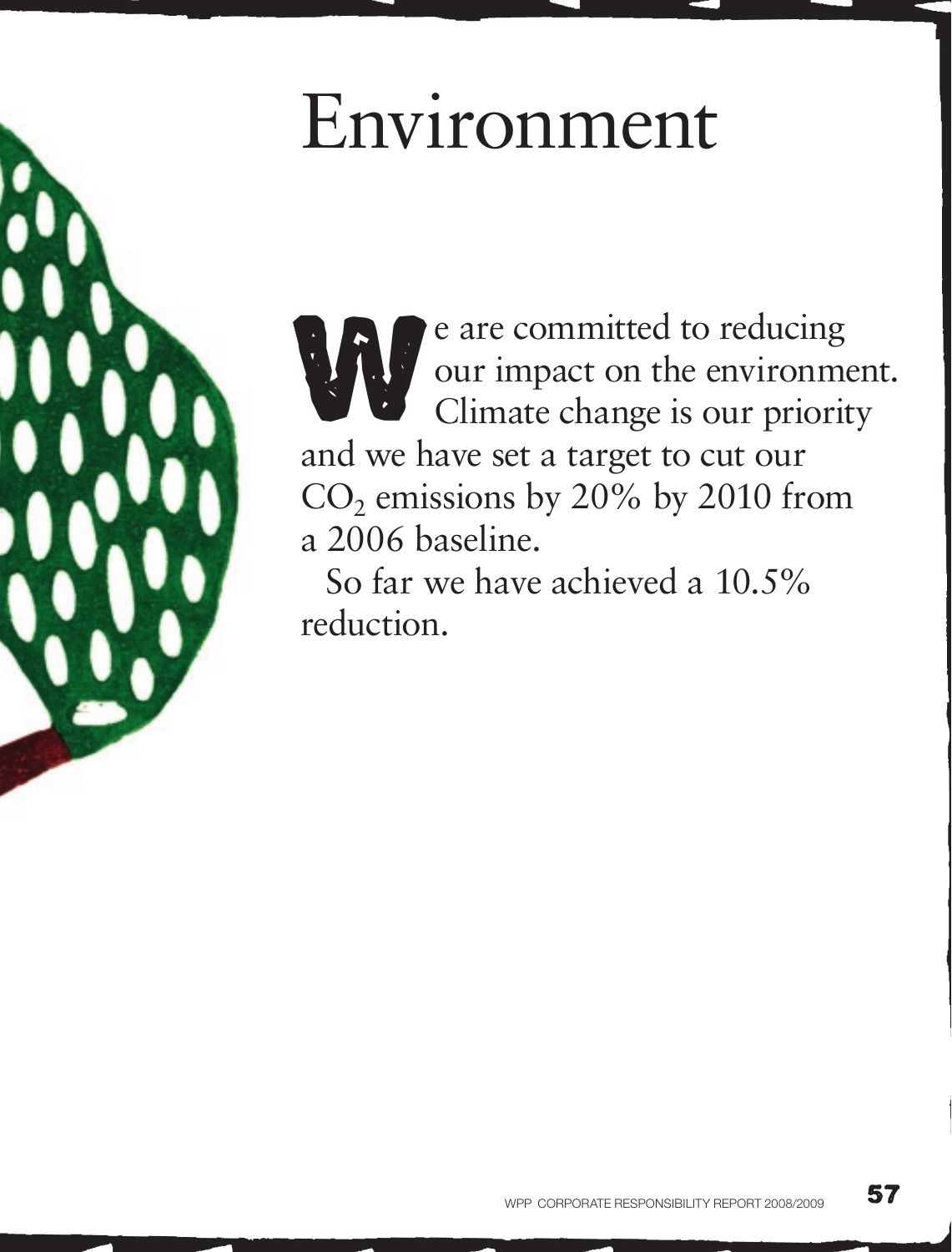# Environment

e are committed to reducing<br>our impact on the environme<br>Climate change is our priorit our impact on the environment. Climate change is our priority and we have set a target to cut our  $CO<sub>2</sub>$  emissions by 20% by 2010 from a 2006 baseline.

So far we have achieved a 10.5% reduction.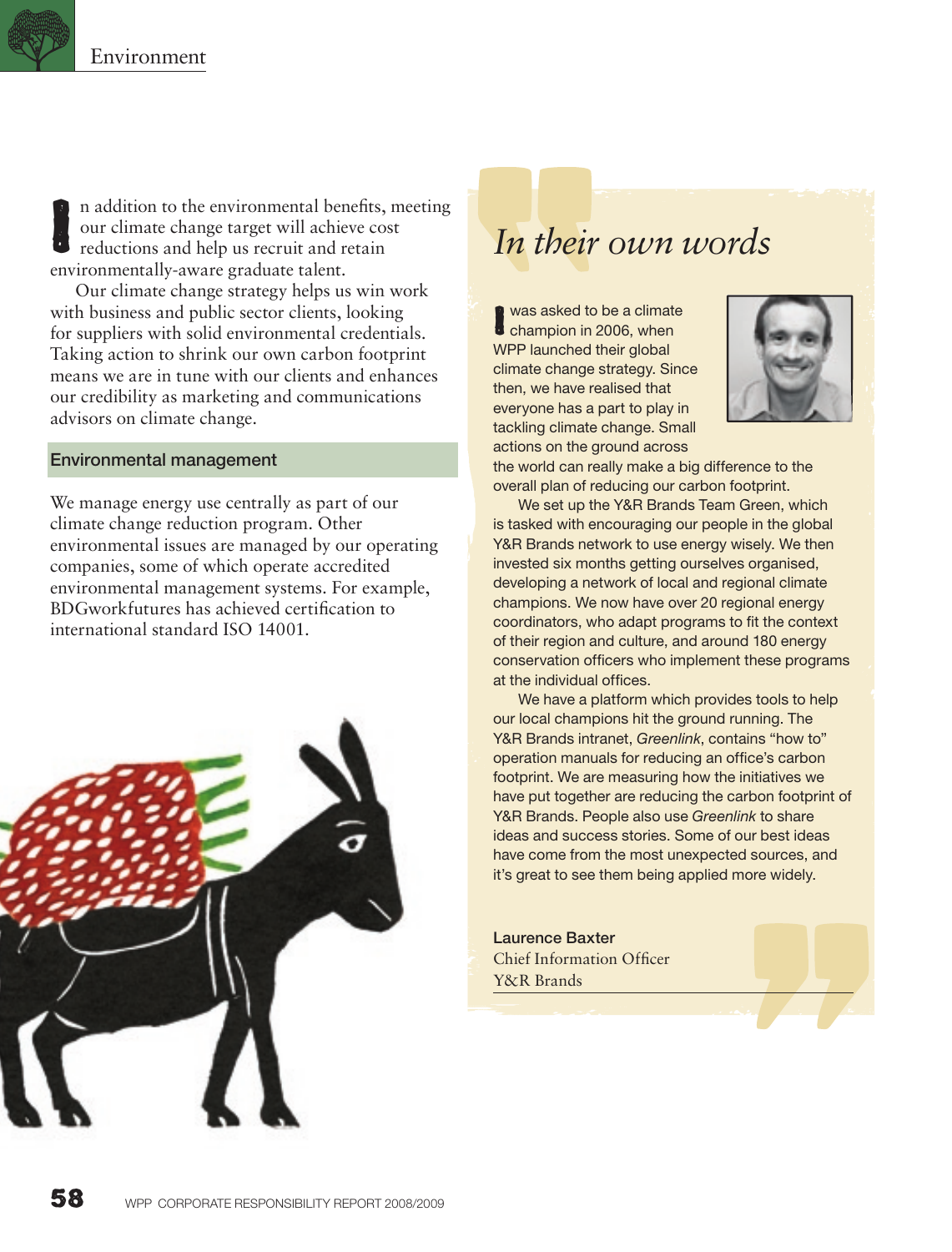In addition to the environmental ben<br>
our climate change target will achie<br>
reductions and help us recruit and re<br>
environmentally-aware graduate talent. n addition to the environmental benefits, meeting our climate change target will achieve cost reductions and help us recruit and retain

Our climate change strategy helps us win work with business and public sector clients, looking for suppliers with solid environmental credentials. Taking action to shrink our own carbon footprint means we are in tune with our clients and enhances our credibility as marketing and communications advisors on climate change.

#### Environmental management

We manage energy use centrally as part of our climate change reduction program. Other environmental issues are managed by our operating companies, some of which operate accredited environmental management systems. For example, BDGworkfutures has achieved certification to international standard ISO 14001.



## *In their own words*

I was asked to be a climate<br>champion in 2006, when WPP launched their global climate change strategy. Since then, we have realised that everyone has a part to play in tackling climate change. Small actions on the ground across



the world can really make a big difference to the overall plan of reducing our carbon footprint.

We set up the Y&R Brands Team Green, which is tasked with encouraging our people in the global Y&R Brands network to use energy wisely. We then invested six months getting ourselves organised, developing a network of local and regional climate champions. We now have over 20 regional energy coordinators, who adapt programs to fit the context of their region and culture, and around 180 energy conservation officers who implement these programs at the individual offices.

We have a platform which provides tools to help our local champions hit the ground running. The Y&R Brands intranet, *Greenlink*, contains "how to" operation manuals for reducing an office's carbon footprint. We are measuring how the initiatives we have put together are reducing the carbon footprint of Y&R Brands. People also use *Greenlink* to share ideas and success stories. Some of our best ideas have come from the most unexpected sources, and it's great to see them being applied more widely.

Laurence Baxter Chief Information Officer Y&R Brands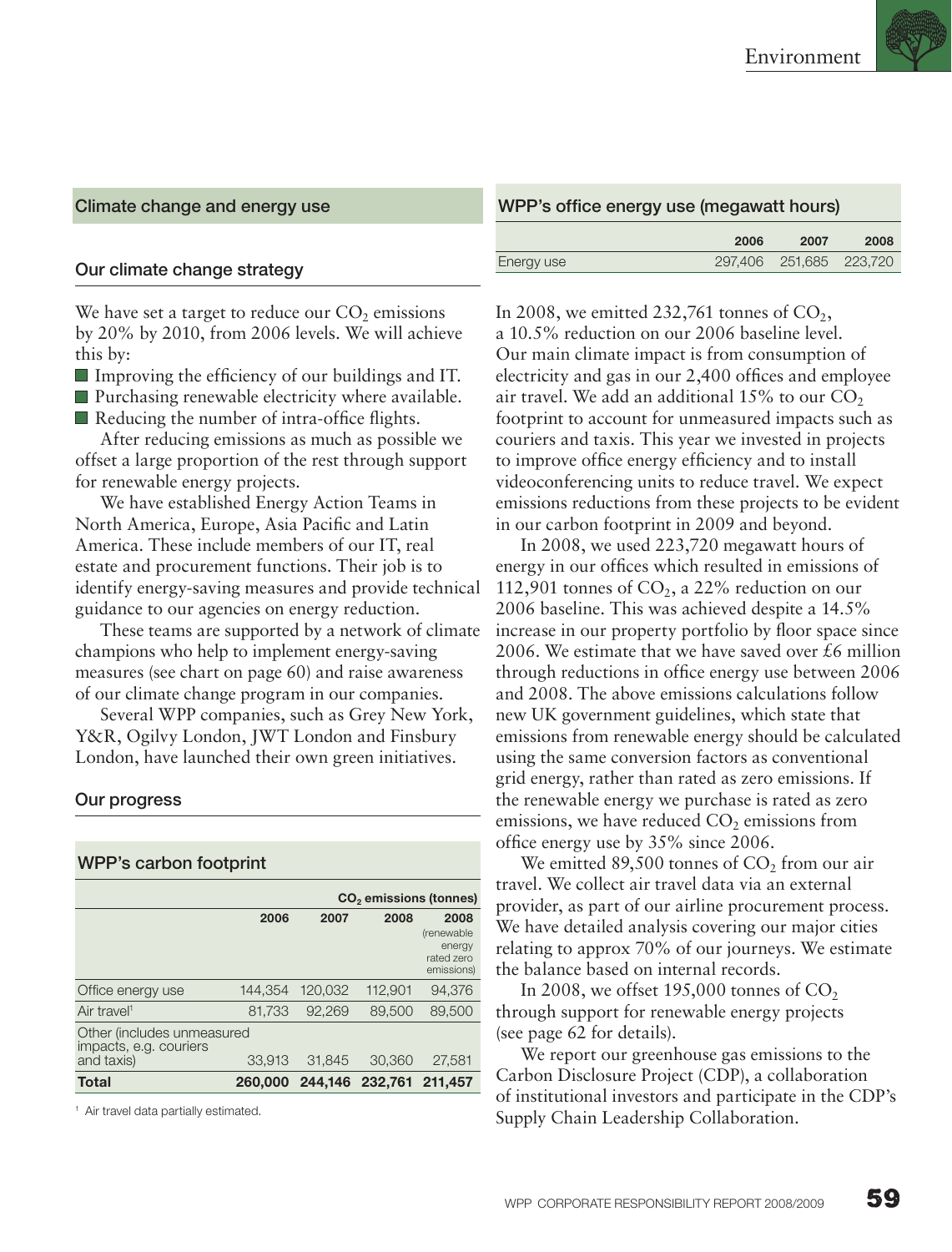#### Climate change and energy use

#### Our climate change strategy

We have set a target to reduce our  $CO<sub>2</sub>$  emissions by 20% by 2010, from 2006 levels. We will achieve this by:

Improving the efficiency of our buildings and IT.

**Purchasing renewable electricity where available.** 

Reducing the number of intra-office flights.

After reducing emissions as much as possible we offset a large proportion of the rest through support for renewable energy projects.

We have established Energy Action Teams in North America, Europe, Asia Pacific and Latin America. These include members of our IT, real estate and procurement functions. Their job is to identify energy-saving measures and provide technical guidance to our agencies on energy reduction.

These teams are supported by a network of climate champions who help to implement energy-saving measures (see chart on page 60) and raise awareness of our climate change program in our companies.

Several WPP companies, such as Grey New York, Y&R, Ogilvy London, JWT London and Finsbury London, have launched their own green initiatives.

#### Our progress

#### WPP's carbon footprint

|                                                                    |         |         | CO <sub>2</sub> emissions (tonnes) |                                                          |
|--------------------------------------------------------------------|---------|---------|------------------------------------|----------------------------------------------------------|
|                                                                    | 2006    | 2007    | 2008                               | 2008<br>(renewable<br>energy<br>rated zero<br>emissions) |
| Office energy use                                                  | 144.354 | 120.032 | 112,901                            | 94,376                                                   |
| Air travel <sup>1</sup>                                            | 81,733  | 92,269  | 89,500                             | 89,500                                                   |
| Other (includes unmeasured<br>impacts, e.g. couriers<br>and taxis) | 33,913  | 31.845  | 30.360                             | 27,581                                                   |
| Total                                                              | 260,000 |         | 244,146 232,761 211,457            |                                                          |

<sup>1</sup> Air travel data partially estimated.

#### WPP's office energy use (megawatt hours)

|            | 2006 | 2007                    | 2008 |
|------------|------|-------------------------|------|
| Energy use |      | 297,406 251,685 223,720 |      |

In 2008, we emitted 232,761 tonnes of  $CO<sub>2</sub>$ , a 10.5% reduction on our 2006 baseline level. Our main climate impact is from consumption of electricity and gas in our 2,400 offices and employee air travel. We add an additional 15% to our  $CO<sub>2</sub>$ footprint to account for unmeasured impacts such as couriers and taxis. This year we invested in projects to improve office energy efficiency and to install videoconferencing units to reduce travel. We expect emissions reductions from these projects to be evident in our carbon footprint in 2009 and beyond.

In 2008, we used 223,720 megawatt hours of energy in our offices which resulted in emissions of 112,901 tonnes of  $CO<sub>2</sub>$ , a 22% reduction on our 2006 baseline. This was achieved despite a 14.5% increase in our property portfolio by floor space since 2006. We estimate that we have saved over  $£6$  million through reductions in office energy use between 2006 and 2008. The above emissions calculations follow new UK government guidelines, which state that emissions from renewable energy should be calculated using the same conversion factors as conventional grid energy, rather than rated as zero emissions. If the renewable energy we purchase is rated as zero emissions, we have reduced  $CO<sub>2</sub>$  emissions from office energy use by 35% since 2006.

We emitted 89,500 tonnes of  $CO<sub>2</sub>$  from our air travel. We collect air travel data via an external provider, as part of our airline procurement process. We have detailed analysis covering our major cities relating to approx 70% of our journeys. We estimate the balance based on internal records.

In 2008, we offset  $195,000$  tonnes of  $CO<sub>2</sub>$ through support for renewable energy projects (see page 62 for details).

We report our greenhouse gas emissions to the Carbon Disclosure Project (CDP), a collaboration of institutional investors and participate in the CDP's Supply Chain Leadership Collaboration.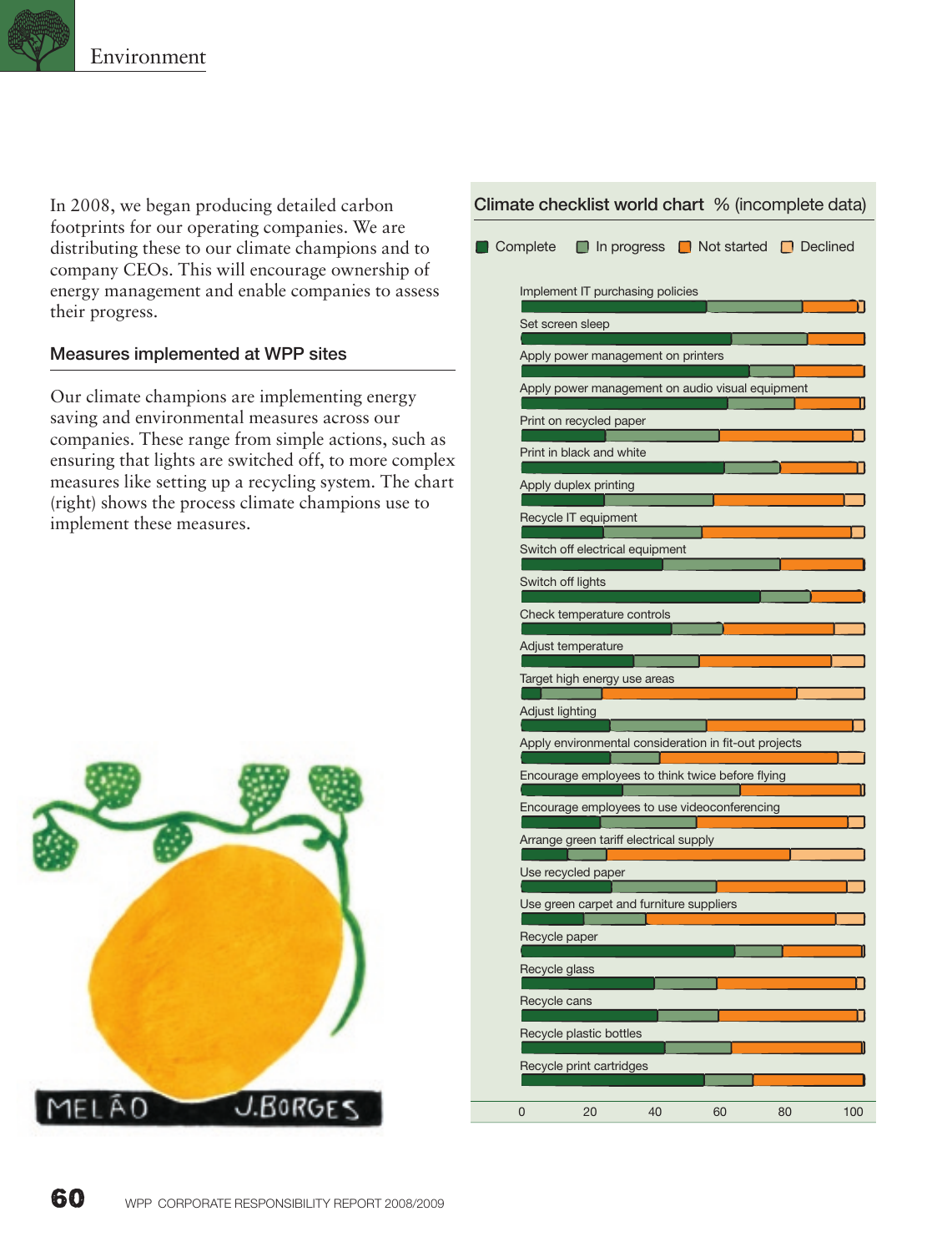

In 2008, we began producing detailed carbon footprints for our operating companies. We are distributing these to our climate champions and to company CEOs. This will encourage ownership of energy management and enable companies to assess their progress.

#### Measures implemented at WPP sites

Our climate champions are implementing energy saving and environmental measures across our companies. These range from simple actions, such as ensuring that lights are switched off, to more complex measures like setting up a recycling system. The chart (right) shows the process climate champions use to implement these measures.



### Climate checklist world chart % (incomplete data)

Complete **In progress D** Not started D Declined Implement IT purchasing policies Set screen sleep Apply power management on printers Apply power management on audio visual equipment Print on recycled paper Print in black and white Apply duplex printing Recycle IT equipment Switch off electrical equipment Switch off lights Check temperature controls Adjust temperature Target high energy use areas Adjust lighting Apply environmental consideration in fit-out projects Encourage employees to think twice before flying Encourage employees to use videoconferencing Arrange green tariff electrical supply Use recycled paper Use green carpet and furniture suppliers Recycle paper Recycle glass Recycle cans Τ Recycle plastic bottles Recycle print cartridges 0 20 40 60 80 100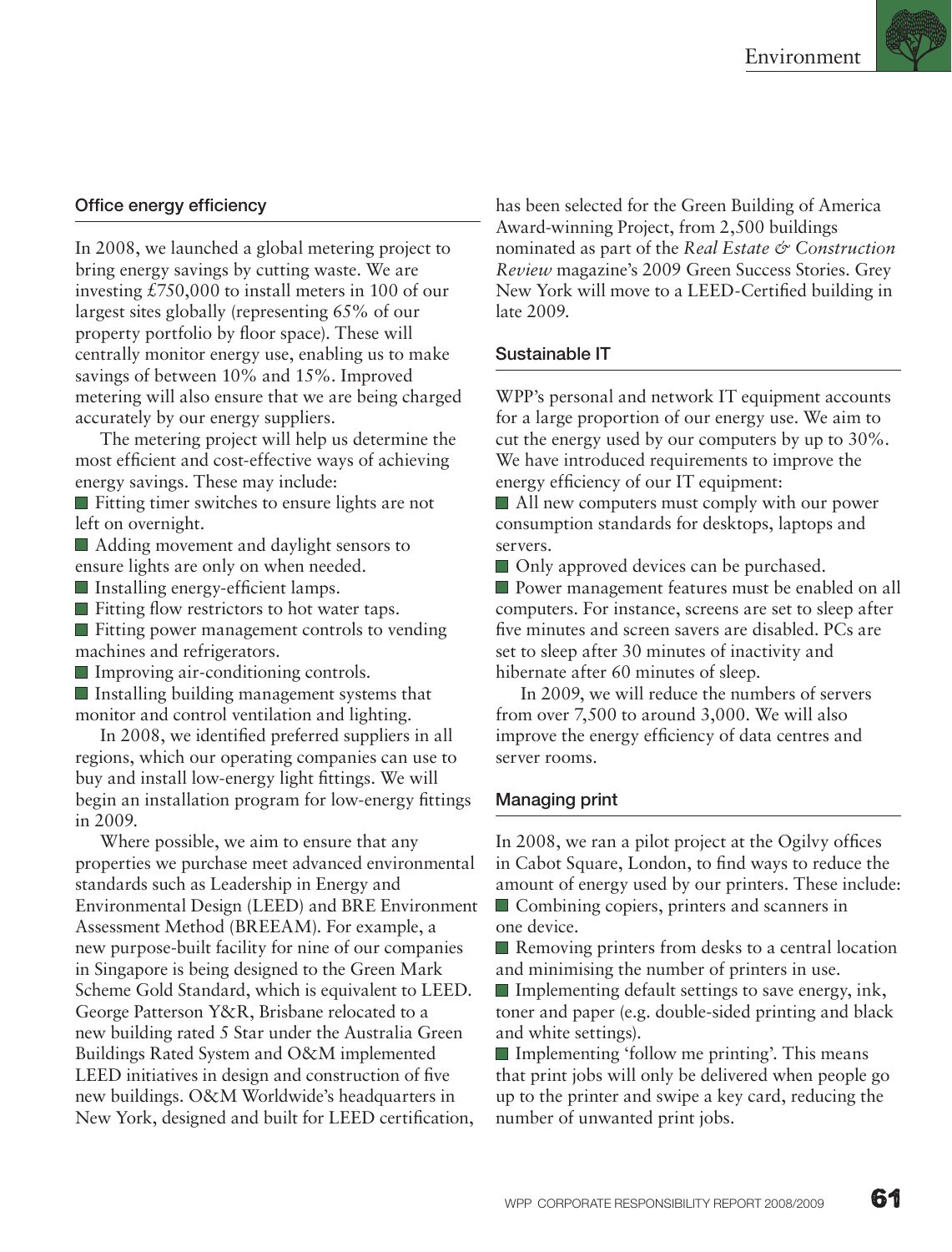

#### Office energy efficiency

In 2008, we launched a global metering project to bring energy savings by cutting waste. We are investing £750,000 to install meters in 100 of our largest sites globally (representing 65% of our property portfolio by floor space). These will centrally monitor energy use, enabling us to make savings of between 10% and 15%. Improved metering will also ensure that we are being charged accurately by our energy suppliers.

The metering project will help us determine the most efficient and cost-effective ways of achieving energy savings. These may include:

■ Fitting timer switches to ensure lights are not left on overnight.

■ Adding movement and daylight sensors to ensure lights are only on when needed.

Installing energy-efficient lamps.

■ Fitting flow restrictors to hot water taps.

**Fitting power management controls to vending** machines and refrigerators.

■ Improving air-conditioning controls.

 $\blacksquare$  Installing building management systems that monitor and control ventilation and lighting.

In 2008, we identified preferred suppliers in all regions, which our operating companies can use to buy and install low-energy light fittings. We will begin an installation program for low-energy fittings in 2009.

Where possible, we aim to ensure that any properties we purchase meet advanced environmental standards such as Leadership in Energy and Environmental Design (LEED) and BRE Environment Assessment Method (BREEAM). For example, a new purpose-built facility for nine of our companies in Singapore is being designed to the Green Mark Scheme Gold Standard, which is equivalent to LEED. George Patterson Y&R, Brisbane relocated to a new building rated 5 Star under the Australia Green Buildings Rated System and O&M implemented LEED initiatives in design and construction of five new buildings. O&M Worldwide's headquarters in New York, designed and built for LEED certification,

has been selected for the Green Building of America Award-winning Project, from 2,500 buildings nominated as part of the *Real Estate & Construction Review* magazine's 2009 Green Success Stories. Grey New York will move to a LEED-Certified building in late 2009.

#### Sustainable IT

WPP's personal and network IT equipment accounts for a large proportion of our energy use. We aim to cut the energy used by our computers by up to 30%. We have introduced requirements to improve the energy efficiency of our IT equipment:

■ All new computers must comply with our power consumption standards for desktops, laptops and servers.

■ Only approved devices can be purchased.

**Power management features must be enabled on all** computers. For instance, screens are set to sleep after five minutes and screen savers are disabled. PCs are set to sleep after 30 minutes of inactivity and hibernate after 60 minutes of sleep.

In 2009, we will reduce the numbers of servers from over 7,500 to around 3,000. We will also improve the energy efficiency of data centres and server rooms.

#### Managing print

In 2008, we ran a pilot project at the Ogilvy offices in Cabot Square, London, to find ways to reduce the amount of energy used by our printers. These include: ■ Combining copiers, printers and scanners in

one device. Removing printers from desks to a central location

and minimising the number of printers in use.

 $\blacksquare$  Implementing default settings to save energy, ink, toner and paper (e.g. double-sided printing and black and white settings).

 $\blacksquare$  Implementing 'follow me printing'. This means that print jobs will only be delivered when people go up to the printer and swipe a key card, reducing the number of unwanted print jobs.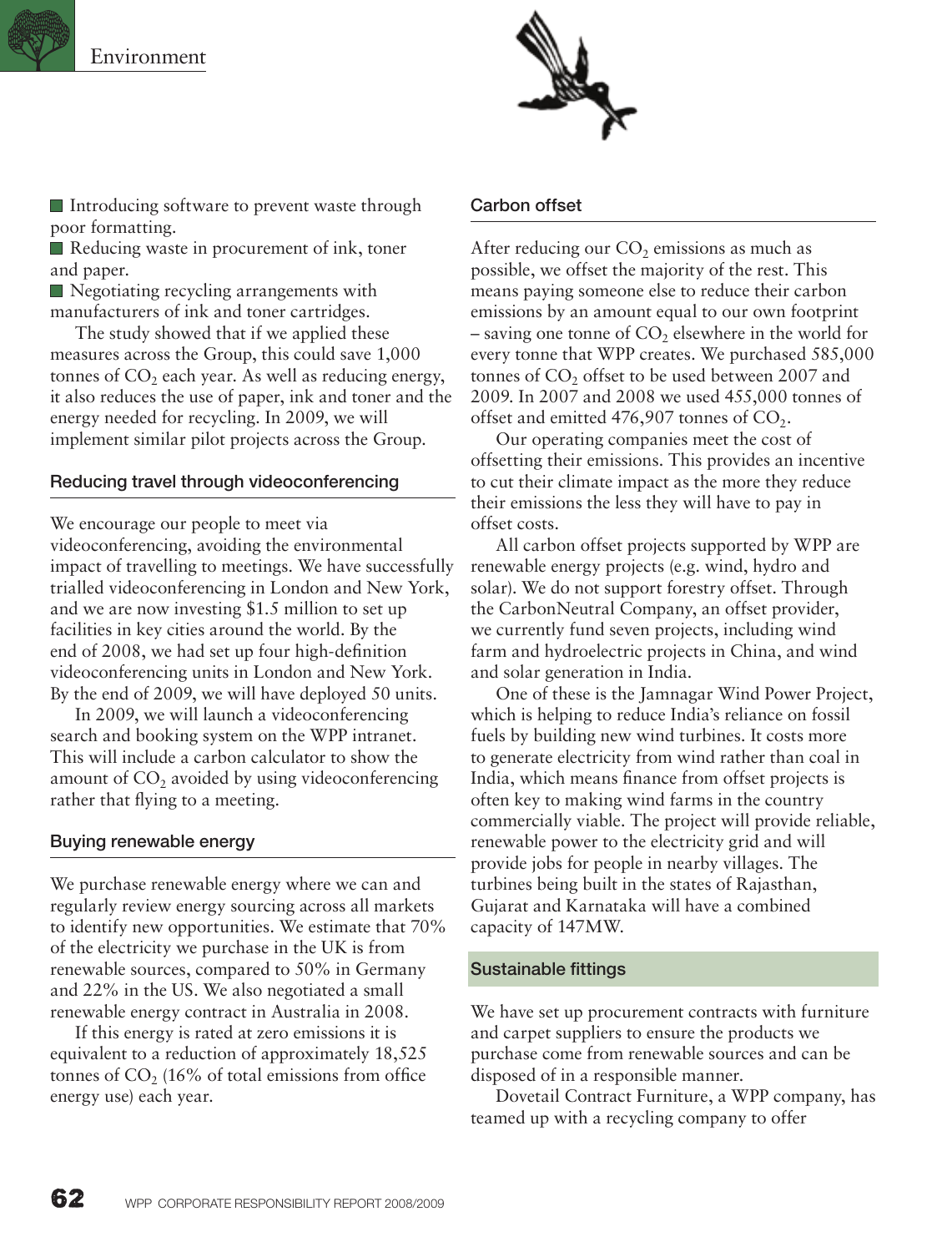



Introducing software to prevent waste through poor formatting.

Reducing waste in procurement of ink, toner and paper.

■ Negotiating recycling arrangements with manufacturers of ink and toner cartridges.

The study showed that if we applied these measures across the Group, this could save 1,000 tonnes of  $CO<sub>2</sub>$  each year. As well as reducing energy, it also reduces the use of paper, ink and toner and the energy needed for recycling. In 2009, we will implement similar pilot projects across the Group.

#### Reducing travel through videoconferencing

We encourage our people to meet via videoconferencing, avoiding the environmental impact of travelling to meetings. We have successfully trialled videoconferencing in London and New York, and we are now investing \$1.5 million to set up facilities in key cities around the world. By the end of 2008, we had set up four high-definition videoconferencing units in London and New York. By the end of 2009, we will have deployed 50 units.

In 2009, we will launch a videoconferencing search and booking system on the WPP intranet. This will include a carbon calculator to show the amount of  $CO<sub>2</sub>$  avoided by using videoconferencing rather that flying to a meeting.

#### Buying renewable energy

We purchase renewable energy where we can and regularly review energy sourcing across all markets to identify new opportunities. We estimate that 70% of the electricity we purchase in the UK is from renewable sources, compared to 50% in Germany and 22% in the US. We also negotiated a small renewable energy contract in Australia in 2008.

If this energy is rated at zero emissions it is equivalent to a reduction of approximately 18,525 tonnes of  $CO<sub>2</sub>$  (16% of total emissions from office energy use) each year.

#### Carbon offset

After reducing our  $CO<sub>2</sub>$  emissions as much as possible, we offset the majority of the rest. This means paying someone else to reduce their carbon emissions by an amount equal to our own footprint – saving one tonne of  $CO<sub>2</sub>$  elsewhere in the world for every tonne that WPP creates. We purchased 585,000 tonnes of  $CO<sub>2</sub>$  offset to be used between 2007 and 2009. In 2007 and 2008 we used 455,000 tonnes of offset and emitted  $476,907$  tonnes of  $CO<sub>2</sub>$ .

Our operating companies meet the cost of offsetting their emissions. This provides an incentive to cut their climate impact as the more they reduce their emissions the less they will have to pay in offset costs.

All carbon offset projects supported by WPP are renewable energy projects (e.g. wind, hydro and solar). We do not support forestry offset. Through the CarbonNeutral Company, an offset provider, we currently fund seven projects, including wind farm and hydroelectric projects in China, and wind and solar generation in India.

One of these is the Jamnagar Wind Power Project, which is helping to reduce India's reliance on fossil fuels by building new wind turbines. It costs more to generate electricity from wind rather than coal in India, which means finance from offset projects is often key to making wind farms in the country commercially viable. The project will provide reliable, renewable power to the electricity grid and will provide jobs for people in nearby villages. The turbines being built in the states of Rajasthan, Gujarat and Karnataka will have a combined capacity of 147MW.

#### Sustainable fittings

We have set up procurement contracts with furniture and carpet suppliers to ensure the products we purchase come from renewable sources and can be disposed of in a responsible manner.

Dovetail Contract Furniture, a WPP company, has teamed up with a recycling company to offer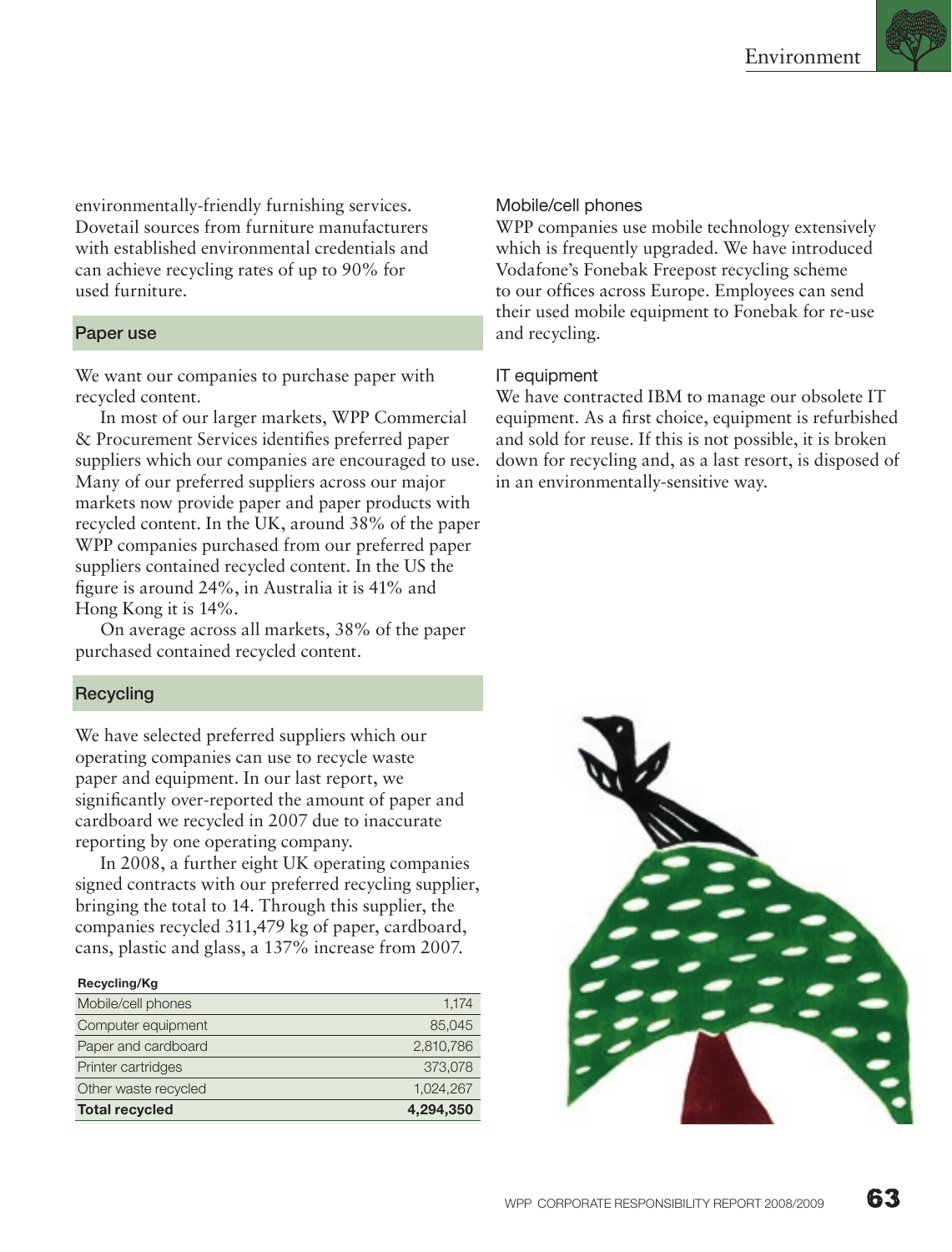

environmentally-friendly furnishing services. Dovetail sources from furniture manufacturers with established environmental credentials and can achieve recycling rates of up to 90% for used furniture.

#### Paper use

We want our companies to purchase paper with recycled content.

In most of our larger markets, WPP Commercial & Procurement Services identifies preferred paper suppliers which our companies are encouraged to use. Many of our preferred suppliers across our major markets now provide paper and paper products with recycled content. In the UK, around 38% of the paper WPP companies purchased from our preferred paper suppliers contained recycled content. In the US the figure is around 24%, in Australia it is 41% and Hong Kong it is 14%.

On average across all markets, 38% of the paper purchased contained recycled content.

#### **Recycling**

We have selected preferred suppliers which our operating companies can use to recycle waste paper and equipment. In our last report, we significantly over-reported the amount of paper and cardboard we recycled in 2007 due to inaccurate reporting by one operating company.

In 2008, a further eight UK operating companies signed contracts with our preferred recycling supplier, bringing the total to 14. Through this supplier, the companies recycled 311,479 kg of paper, cardboard, cans, plastic and glass, a 137% increase from 2007.

#### Recycling/Kg

| Mobile/cell phones    | 1.174     |
|-----------------------|-----------|
| Computer equipment    | 85,045    |
| Paper and cardboard   | 2,810,786 |
| Printer cartridges    | 373,078   |
| Other waste recycled  | 1,024,267 |
| <b>Total recycled</b> | 4,294,350 |

#### Mobile/cell phones

WPP companies use mobile technology extensively which is frequently upgraded. We have introduced Vodafone's Fonebak Freepost recycling scheme to our offices across Europe. Employees can send their used mobile equipment to Fonebak for re-use and recycling.

#### IT equipment

We have contracted IBM to manage our obsolete IT equipment. As a first choice, equipment is refurbished and sold for reuse. If this is not possible, it is broken down for recycling and, as a last resort, is disposed of in an environmentally-sensitive way.

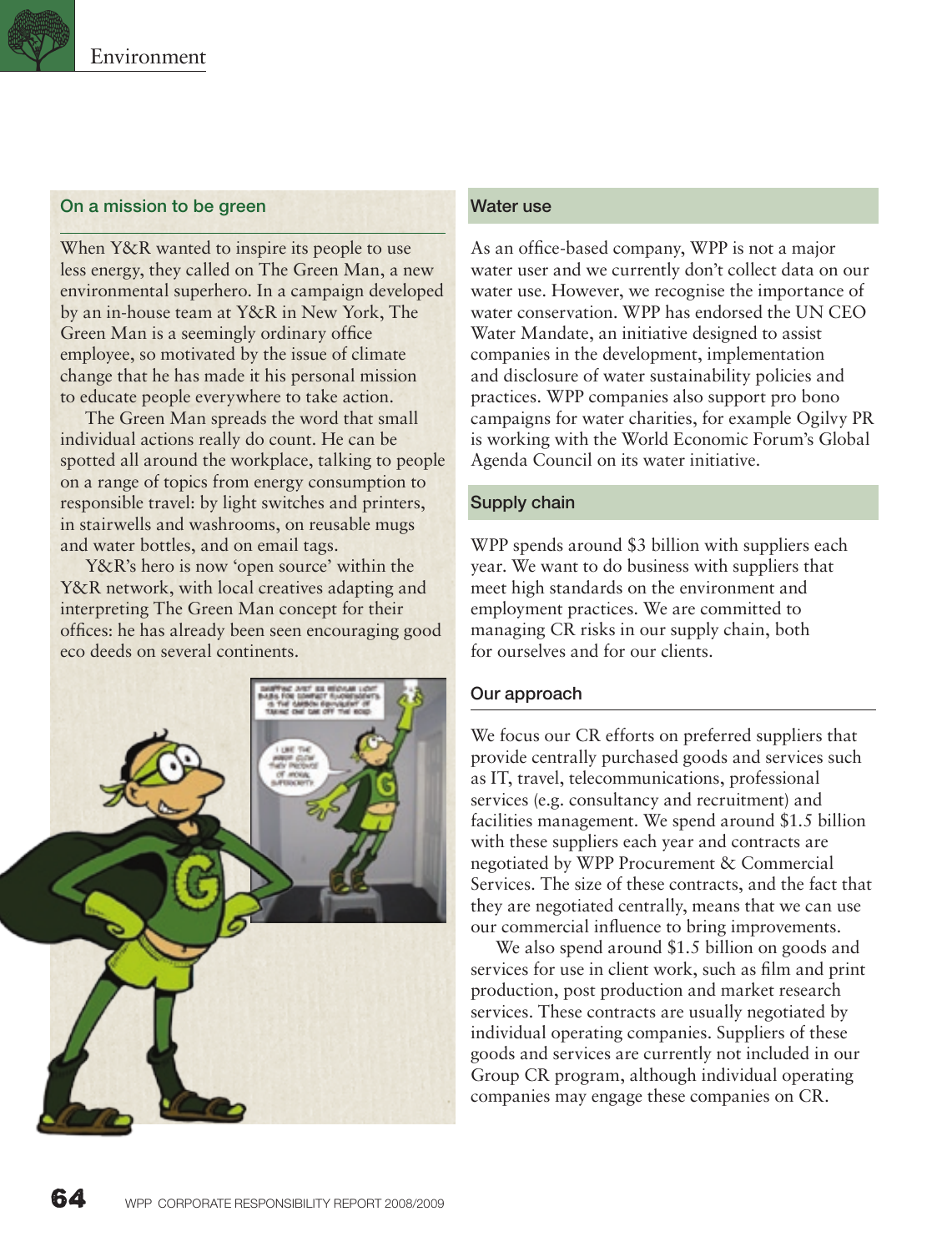#### On a mission to be green

When Y&R wanted to inspire its people to use less energy, they called on The Green Man, a new environmental superhero. In a campaign developed by an in-house team at Y&R in New York, The Green Man is a seemingly ordinary office employee, so motivated by the issue of climate change that he has made it his personal mission to educate people everywhere to take action.

The Green Man spreads the word that small individual actions really do count. He can be spotted all around the workplace, talking to people on a range of topics from energy consumption to responsible travel: by light switches and printers, in stairwells and washrooms, on reusable mugs and water bottles, and on email tags.

Y&R's hero is now 'open source' within the Y&R network, with local creatives adapting and interpreting The Green Man concept for their offices: he has already been seen encouraging good eco deeds on several continents.



#### Water use

As an office-based company, WPP is not a major water user and we currently don't collect data on our water use. However, we recognise the importance of water conservation. WPP has endorsed the UN CEO Water Mandate, an initiative designed to assist companies in the development, implementation and disclosure of water sustainability policies and practices. WPP companies also support pro bono campaigns for water charities, for example Ogilvy PR is working with the World Economic Forum's Global Agenda Council on its water initiative.

#### Supply chain

WPP spends around \$3 billion with suppliers each year. We want to do business with suppliers that meet high standards on the environment and employment practices. We are committed to managing CR risks in our supply chain, both for ourselves and for our clients.

#### Our approach

We focus our CR efforts on preferred suppliers that provide centrally purchased goods and services such as IT, travel, telecommunications, professional services (e.g. consultancy and recruitment) and facilities management. We spend around \$1.5 billion with these suppliers each year and contracts are negotiated by WPP Procurement & Commercial Services. The size of these contracts, and the fact that they are negotiated centrally, means that we can use our commercial influence to bring improvements.

We also spend around \$1.5 billion on goods and services for use in client work, such as film and print production, post production and market research services. These contracts are usually negotiated by individual operating companies. Suppliers of these goods and services are currently not included in our Group CR program, although individual operating companies may engage these companies on CR.